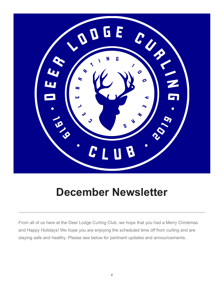

## December Newsletter

From all of us here at the Deer Lodge Curling Club, we hope that you had a Merry Christmas and Happy Holidays! We hope you are enjoying the scheduled time off from curling and are staying safe and healthy. Please see below for pertinent updates and announcements.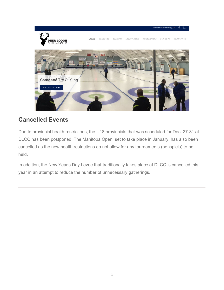

## Cancelled Events

Due to provincial health restrictions, the U18 provincials that was scheduled for Dec. 27-31 at DLCC has been postponed. The Manitoba Open, set to take place in January, has also been cancelled as the new health restrictions do not allow for any tournaments (bonspiels) to be held.

In addition, the New Year's Day Levee that traditionally takes place at DLCC is cancelled this year in an attempt to reduce the number of unnecessary gatherings.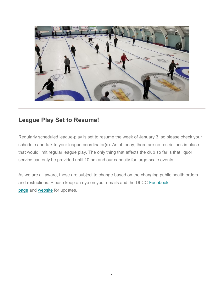

## League Play Set to Resume!

Regularly scheduled league-play is set to resume the week of January 3, so please check your schedule and talk to your league coordinator(s). As of today, there are no restrictions in place that would limit regular league play. The only thing that affects the club so far is that liquor service can only be provided until 10 pm and our capacity for large-scale events.

As we are all aware, these are subject to change based on the changing public health orders and restrictions. Please keep an eye on your emails and the DLCC Facebook page and website for updates.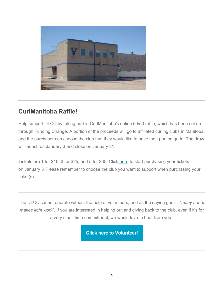

## CurlManitoba Raffle!

Help support DLCC by taking part in CurlManitoba's online 50/50 raffle, which has been set up through Funding Change. A portion of the proceeds will go to affiliated curling clubs in Manitoba, and the purchaser can choose the club that they would like to have their portion go to. The draw will launch on January 3 and close on January 31.

Tickets are 1 for \$10, 3 for \$25, and 5 for \$35. Click here to start purchasing your tickets on January 3. Please remember to choose the club you want to support when purchasing your ticket(s).

The DLCC cannot operate without the help of volunteers, and as the saying goes - "many hands makes light work". If you are interested in helping out and giving back to the club, even if it's for a very small time commitment, we would love to hear from you.

Click here to Volunteer!